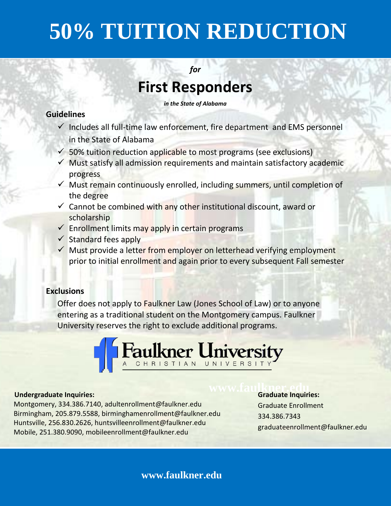# **50% TUITION REDUCTION**

*for*

## **First Responders**

*in the State of Alabama*

#### **Guidelines**

- $\checkmark$  Includes all full-time law enforcement, fire department and EMS personnel in the State of Alabama
- $\checkmark$  50% tuition reduction applicable to most programs (see exclusions)
- $\checkmark$  Must satisfy all admission requirements and maintain satisfactory academic progress
- $\checkmark$  Must remain continuously enrolled, including summers, until completion of the degree
- $\checkmark$  Cannot be combined with any other institutional discount, award or scholarship
- $\checkmark$  Enrollment limits may apply in certain programs
- $\checkmark$  Standard fees apply
- $\checkmark$  Must provide a letter from employer on letterhead verifying employment prior to initial enrollment and again prior to every subsequent Fall semester

#### **Exclusions**

Offer does not apply to **Faulkner Law** (Jones School of Law) or to anyone entering as a traditional student on the Montgomery campus. Faulkner University reserves the right to exclude additional programs.



#### **Undergraduate Inquiries:**

#### Montgomery, 334.386.7140, adultenrollment@faulkner.edu Birmingham, 205.879.5588, birminghamenrollment@faulkner.edu Huntsville, 256.830.2626, [huntsvilleenrollment@faulkner.edu](mailto:huntsvilleenrollment@faulkner.edu) Mobile, 251.380.9090, mobileenrollment@faulkner.edu

# **www.faulkner.edult**

Graduate Enrollment 334.386.7343 graduateenrollment@faulkner.edu

### **www.faulkner.edu**